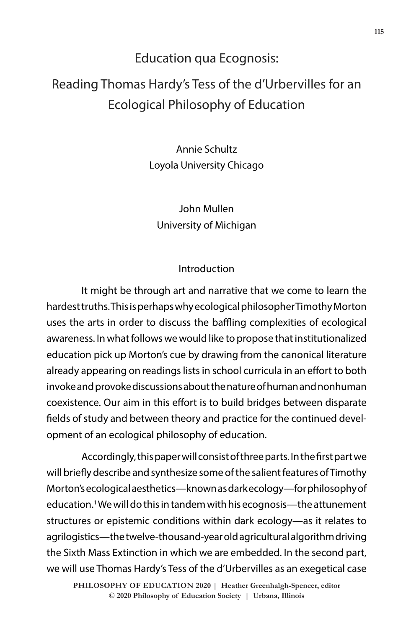## Education qua Ecognosis:

# Reading Thomas Hardy's Tess of the d'Urbervilles for an Ecological Philosophy of Education

Annie Schultz Loyola University Chicago

## John Mullen University of Michigan

### Introduction

It might be through art and narrative that we come to learn the hardest truths. This is perhaps why ecological philosopher Timothy Morton uses the arts in order to discuss the baffling complexities of ecological awareness. In what follows we would like to propose that institutionalized education pick up Morton's cue by drawing from the canonical literature already appearing on readings lists in school curricula in an effort to both invoke and provoke discussions about the nature of human and nonhuman coexistence. Our aim in this effort is to build bridges between disparate fields of study and between theory and practice for the continued development of an ecological philosophy of education.

Accordingly, this paper will consist of three parts. In the first part we will briefly describe and synthesize some of the salient features of Timothy Morton's ecological aesthetics—known as dark ecology—for philosophy of education.1 We will do this in tandem with his ecognosis—the attunement structures or epistemic conditions within dark ecology—as it relates to agrilogistics—the twelve-thousand-year old agricultural algorithm driving the Sixth Mass Extinction in which we are embedded. In the second part, we will use Thomas Hardy's Tess of the d'Urbervilles as an exegetical case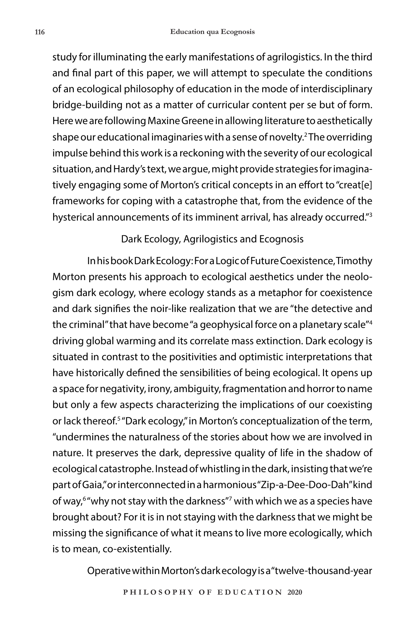study for illuminating the early manifestations of agrilogistics. In the third and final part of this paper, we will attempt to speculate the conditions of an ecological philosophy of education in the mode of interdisciplinary bridge-building not as a matter of curricular content per se but of form. Here we are following Maxine Greene in allowing literature to aesthetically shape our educational imaginaries with a sense of novelty.2 The overriding impulse behind this work is a reckoning with the severity of our ecological situation, and Hardy's text, we argue, might provide strategies for imaginatively engaging some of Morton's critical concepts in an effort to "creat[e] frameworks for coping with a catastrophe that, from the evidence of the hysterical announcements of its imminent arrival, has already occurred."3

#### Dark Ecology, Agrilogistics and Ecognosis

In his book Dark Ecology: For a Logic of Future Coexistence, Timothy Morton presents his approach to ecological aesthetics under the neologism dark ecology, where ecology stands as a metaphor for coexistence and dark signifies the noir-like realization that we are "the detective and the criminal" that have become "a geophysical force on a planetary scale"4 driving global warming and its correlate mass extinction. Dark ecology is situated in contrast to the positivities and optimistic interpretations that have historically defined the sensibilities of being ecological. It opens up a space for negativity, irony, ambiguity, fragmentation and horror to name but only a few aspects characterizing the implications of our coexisting or lack thereof.<sup>5</sup> "Dark ecology," in Morton's conceptualization of the term, "undermines the naturalness of the stories about how we are involved in nature. It preserves the dark, depressive quality of life in the shadow of ecological catastrophe. Instead of whistling in the dark, insisting that we're part of Gaia," or interconnected in a harmonious "Zip-a-Dee-Doo-Dah" kind of way,<sup>6</sup> "why not stay with the darkness"<sup>7</sup> with which we as a species have brought about? For it is in not staying with the darkness that we might be missing the significance of what it means to live more ecologically, which is to mean, co-existentially.

Operative within Morton's dark ecology is a "twelve-thousand-year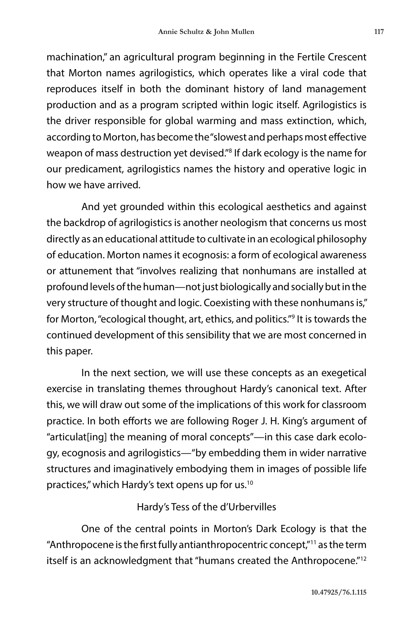machination," an agricultural program beginning in the Fertile Crescent that Morton names agrilogistics, which operates like a viral code that reproduces itself in both the dominant history of land management production and as a program scripted within logic itself. Agrilogistics is the driver responsible for global warming and mass extinction, which, according to Morton, has become the "slowest and perhaps most effective weapon of mass destruction yet devised."<sup>8</sup> If dark ecology is the name for our predicament, agrilogistics names the history and operative logic in how we have arrived.

And yet grounded within this ecological aesthetics and against the backdrop of agrilogistics is another neologism that concerns us most directly as an educational attitude to cultivate in an ecological philosophy of education. Morton names it ecognosis: a form of ecological awareness or attunement that "involves realizing that nonhumans are installed at profound levels of the human—not just biologically and socially but in the very structure of thought and logic. Coexisting with these nonhumans is," for Morton, "ecological thought, art, ethics, and politics."9 It is towards the continued development of this sensibility that we are most concerned in this paper.

In the next section, we will use these concepts as an exegetical exercise in translating themes throughout Hardy's canonical text. After this, we will draw out some of the implications of this work for classroom practice. In both efforts we are following Roger J. H. King's argument of "articulat[ing] the meaning of moral concepts"—in this case dark ecology, ecognosis and agrilogistics—"by embedding them in wider narrative structures and imaginatively embodying them in images of possible life practices," which Hardy's text opens up for us.10

### Hardy's Tess of the d'Urbervilles

One of the central points in Morton's Dark Ecology is that the "Anthropocene is the first fully antianthropocentric concept,"11 as the term itself is an acknowledgment that "humans created the Anthropocene."<sup>12</sup>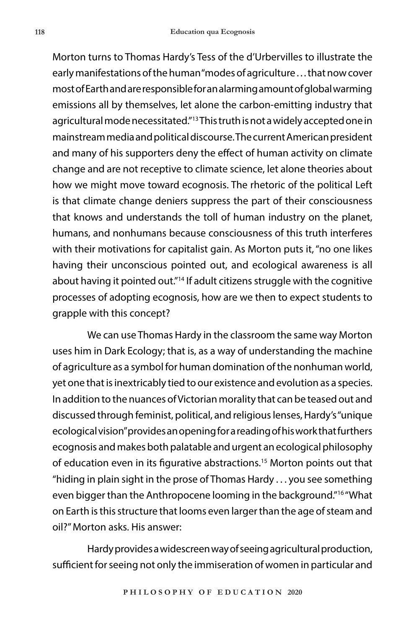Morton turns to Thomas Hardy's Tess of the d'Urbervilles to illustrate the early manifestations of the human "modes of agriculture . . . that now cover most of Earth and are responsible for an alarming amount of global warming emissions all by themselves, let alone the carbon-emitting industry that agricultural mode necessitated."13 This truth is not a widely accepted one in mainstream media and political discourse. The current American president and many of his supporters deny the effect of human activity on climate change and are not receptive to climate science, let alone theories about how we might move toward ecognosis. The rhetoric of the political Left is that climate change deniers suppress the part of their consciousness that knows and understands the toll of human industry on the planet, humans, and nonhumans because consciousness of this truth interferes with their motivations for capitalist gain. As Morton puts it, "no one likes having their unconscious pointed out, and ecological awareness is all about having it pointed out."<sup>14</sup> If adult citizens struggle with the cognitive processes of adopting ecognosis, how are we then to expect students to grapple with this concept?

We can use Thomas Hardy in the classroom the same way Morton uses him in Dark Ecology; that is, as a way of understanding the machine of agriculture as a symbol for human domination of the nonhuman world, yet one that is inextricably tied to our existence and evolution as a species. In addition to the nuances of Victorian morality that can be teased out and discussed through feminist, political, and religious lenses, Hardy's "unique ecological vision" provides an opening for a reading of his work that furthers ecognosis and makes both palatable and urgent an ecological philosophy of education even in its figurative abstractions.<sup>15</sup> Morton points out that "hiding in plain sight in the prose of Thomas Hardy . . . you see something even bigger than the Anthropocene looming in the background."16 "What on Earth is this structure that looms even larger than the age of steam and oil?" Morton asks. His answer:

Hardy provides a widescreen way of seeing agricultural production, sufficient for seeing not only the immiseration of women in particular and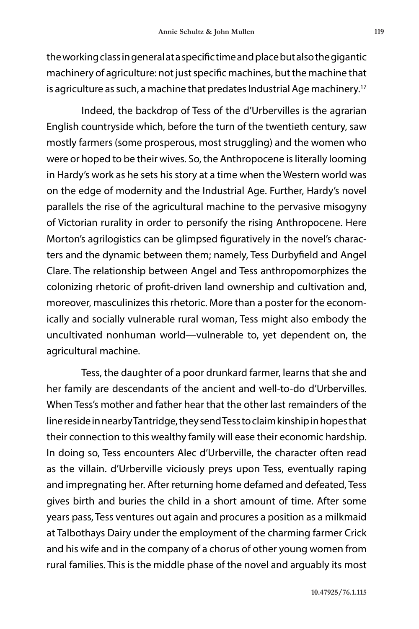the working class in general at a specific time and place but also the gigantic machinery of agriculture: not just specific machines, but the machine that is agriculture as such, a machine that predates Industrial Age machinery.<sup>17</sup>

Indeed, the backdrop of Tess of the d'Urbervilles is the agrarian English countryside which, before the turn of the twentieth century, saw mostly farmers (some prosperous, most struggling) and the women who were or hoped to be their wives. So, the Anthropocene is literally looming in Hardy's work as he sets his story at a time when the Western world was on the edge of modernity and the Industrial Age. Further, Hardy's novel parallels the rise of the agricultural machine to the pervasive misogyny of Victorian rurality in order to personify the rising Anthropocene. Here Morton's agrilogistics can be glimpsed figuratively in the novel's characters and the dynamic between them; namely, Tess Durbyfield and Angel Clare. The relationship between Angel and Tess anthropomorphizes the colonizing rhetoric of profit-driven land ownership and cultivation and, moreover, masculinizes this rhetoric. More than a poster for the economically and socially vulnerable rural woman, Tess might also embody the uncultivated nonhuman world—vulnerable to, yet dependent on, the agricultural machine.

Tess, the daughter of a poor drunkard farmer, learns that she and her family are descendants of the ancient and well-to-do d'Urbervilles. When Tess's mother and father hear that the other last remainders of the line reside in nearby Tantridge, they send Tess to claim kinship in hopes that their connection to this wealthy family will ease their economic hardship. In doing so, Tess encounters Alec d'Urberville, the character often read as the villain. d'Urberville viciously preys upon Tess, eventually raping and impregnating her. After returning home defamed and defeated, Tess gives birth and buries the child in a short amount of time. After some years pass, Tess ventures out again and procures a position as a milkmaid at Talbothays Dairy under the employment of the charming farmer Crick and his wife and in the company of a chorus of other young women from rural families. This is the middle phase of the novel and arguably its most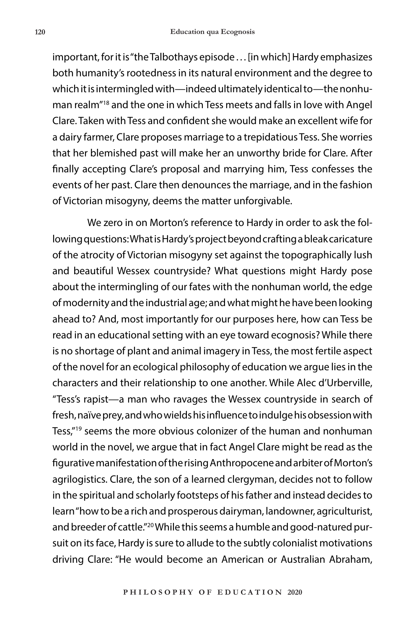important, for it is "the Talbothays episode . . . [in which] Hardy emphasizes both humanity's rootedness in its natural environment and the degree to which it is intermingled with—indeed ultimately identical to—the nonhuman realm"18 and the one in which Tess meets and falls in love with Angel Clare. Taken with Tess and confident she would make an excellent wife for a dairy farmer, Clare proposes marriage to a trepidatious Tess. She worries that her blemished past will make her an unworthy bride for Clare. After finally accepting Clare's proposal and marrying him, Tess confesses the events of her past. Clare then denounces the marriage, and in the fashion of Victorian misogyny, deems the matter unforgivable.

We zero in on Morton's reference to Hardy in order to ask the following questions: What is Hardy's project beyond crafting a bleak caricature of the atrocity of Victorian misogyny set against the topographically lush and beautiful Wessex countryside? What questions might Hardy pose about the intermingling of our fates with the nonhuman world, the edge of modernity and the industrial age; and what might he have been looking ahead to? And, most importantly for our purposes here, how can Tess be read in an educational setting with an eye toward ecognosis? While there is no shortage of plant and animal imagery in Tess, the most fertile aspect of the novel for an ecological philosophy of education we argue lies in the characters and their relationship to one another. While Alec d'Urberville, "Tess's rapist—a man who ravages the Wessex countryside in search of fresh, naïve prey, and who wields his influence to indulge his obsession with Tess,"19 seems the more obvious colonizer of the human and nonhuman world in the novel, we argue that in fact Angel Clare might be read as the figurative manifestation of the rising Anthropocene and arbiter of Morton's agrilogistics. Clare, the son of a learned clergyman, decides not to follow in the spiritual and scholarly footsteps of his father and instead decides to learn "how to be a rich and prosperous dairyman, landowner, agriculturist, and breeder of cattle."<sup>20</sup> While this seems a humble and good-natured pursuit on its face, Hardy is sure to allude to the subtly colonialist motivations driving Clare: "He would become an American or Australian Abraham,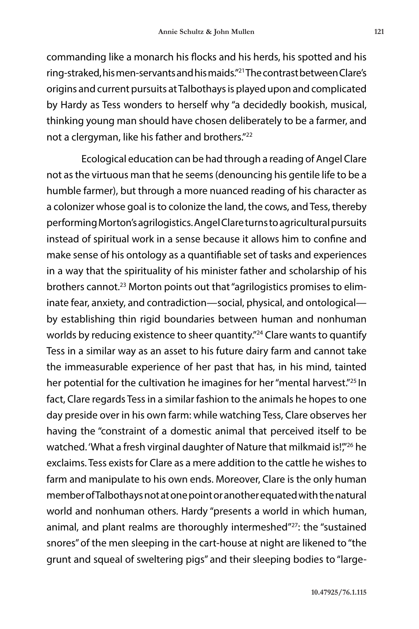commanding like a monarch his flocks and his herds, his spotted and his ring-straked, his men-servants and his maids."21 The contrast between Clare's origins and current pursuits at Talbothays is played upon and complicated by Hardy as Tess wonders to herself why "a decidedly bookish, musical, thinking young man should have chosen deliberately to be a farmer, and not a clergyman, like his father and brothers."<sup>22</sup>

Ecological education can be had through a reading of Angel Clare not as the virtuous man that he seems (denouncing his gentile life to be a humble farmer), but through a more nuanced reading of his character as a colonizer whose goal is to colonize the land, the cows, and Tess, thereby performing Morton's agrilogistics. Angel Clare turns to agricultural pursuits instead of spiritual work in a sense because it allows him to confine and make sense of his ontology as a quantifiable set of tasks and experiences in a way that the spirituality of his minister father and scholarship of his brothers cannot.<sup>23</sup> Morton points out that "agrilogistics promises to eliminate fear, anxiety, and contradiction—social, physical, and ontological by establishing thin rigid boundaries between human and nonhuman worlds by reducing existence to sheer quantity."<sup>24</sup> Clare wants to quantify Tess in a similar way as an asset to his future dairy farm and cannot take the immeasurable experience of her past that has, in his mind, tainted her potential for the cultivation he imagines for her "mental harvest."<sup>25</sup> In fact, Clare regards Tess in a similar fashion to the animals he hopes to one day preside over in his own farm: while watching Tess, Clare observes her having the "constraint of a domestic animal that perceived itself to be watched. 'What a fresh virginal daughter of Nature that milkmaid is!"<sup>26</sup> he exclaims. Tess exists for Clare as a mere addition to the cattle he wishes to farm and manipulate to his own ends. Moreover, Clare is the only human member of Talbothays not at one point or another equated with the natural world and nonhuman others. Hardy "presents a world in which human, animal, and plant realms are thoroughly intermeshed"<sup>27</sup>: the "sustained snores" of the men sleeping in the cart-house at night are likened to "the grunt and squeal of sweltering pigs" and their sleeping bodies to "large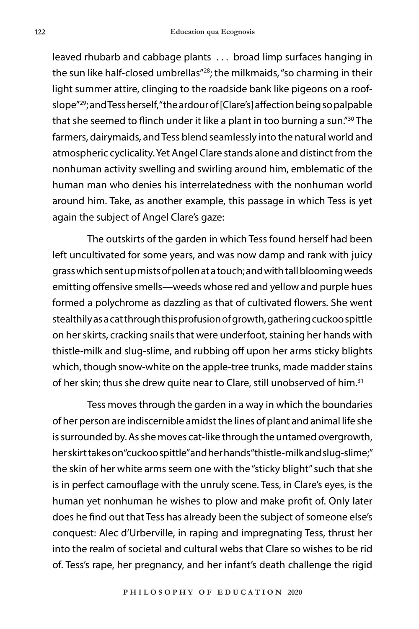leaved rhubarb and cabbage plants . . . broad limp surfaces hanging in the sun like half-closed umbrellas"28; the milkmaids, "so charming in their light summer attire, clinging to the roadside bank like pigeons on a roofslope"29; and Tess herself, "the ardour of [Clare's] affection being so palpable that she seemed to flinch under it like a plant in too burning a sun."30 The farmers, dairymaids, and Tess blend seamlessly into the natural world and atmospheric cyclicality. Yet Angel Clare stands alone and distinct from the nonhuman activity swelling and swirling around him, emblematic of the human man who denies his interrelatedness with the nonhuman world around him. Take, as another example, this passage in which Tess is yet again the subject of Angel Clare's gaze:

The outskirts of the garden in which Tess found herself had been left uncultivated for some years, and was now damp and rank with juicy grass which sent up mists of pollen at a touch; and with tall blooming weeds emitting offensive smells—weeds whose red and yellow and purple hues formed a polychrome as dazzling as that of cultivated flowers. She went stealthily as a cat through this profusion of growth, gathering cuckoo spittle on her skirts, cracking snails that were underfoot, staining her hands with thistle-milk and slug-slime, and rubbing off upon her arms sticky blights which, though snow-white on the apple-tree trunks, made madder stains of her skin; thus she drew quite near to Clare, still unobserved of him.<sup>31</sup>

Tess moves through the garden in a way in which the boundaries of her person are indiscernible amidst the lines of plant and animal life she is surrounded by. As she moves cat-like through the untamed overgrowth, her skirt takes on "cuckoo spittle" and her hands "thistle-milk and slug-slime;" the skin of her white arms seem one with the "sticky blight" such that she is in perfect camouflage with the unruly scene. Tess, in Clare's eyes, is the human yet nonhuman he wishes to plow and make profit of. Only later does he find out that Tess has already been the subject of someone else's conquest: Alec d'Urberville, in raping and impregnating Tess, thrust her into the realm of societal and cultural webs that Clare so wishes to be rid of. Tess's rape, her pregnancy, and her infant's death challenge the rigid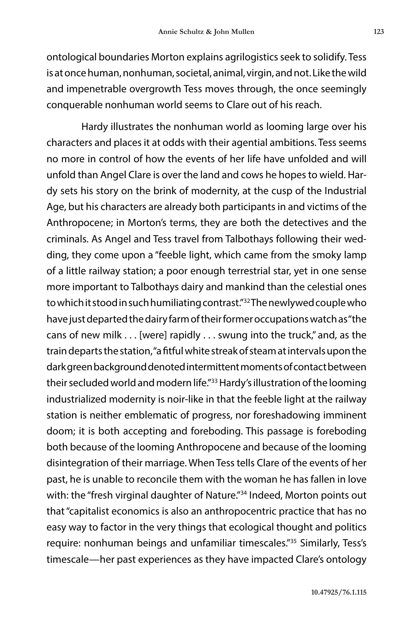ontological boundaries Morton explains agrilogistics seek to solidify. Tess is at once human, nonhuman, societal, animal, virgin, and not. Like the wild and impenetrable overgrowth Tess moves through, the once seemingly conquerable nonhuman world seems to Clare out of his reach.

Hardy illustrates the nonhuman world as looming large over his characters and places it at odds with their agential ambitions. Tess seems no more in control of how the events of her life have unfolded and will unfold than Angel Clare is over the land and cows he hopes to wield. Hardy sets his story on the brink of modernity, at the cusp of the Industrial Age, but his characters are already both participants in and victims of the Anthropocene; in Morton's terms, they are both the detectives and the criminals. As Angel and Tess travel from Talbothays following their wedding, they come upon a "feeble light, which came from the smoky lamp of a little railway station; a poor enough terrestrial star, yet in one sense more important to Talbothays dairy and mankind than the celestial ones to which it stood in such humiliating contrast."32 The newlywed couple who have just departed the dairy farm of their former occupations watch as "the cans of new milk . . . [were] rapidly . . . swung into the truck," and, as the train departs the station, "a fitful white streak of steam at intervals upon the dark green background denoted intermittent moments of contact between their secluded world and modern life."<sup>33</sup> Hardy's illustration of the looming industrialized modernity is noir-like in that the feeble light at the railway station is neither emblematic of progress, nor foreshadowing imminent doom; it is both accepting and foreboding. This passage is foreboding both because of the looming Anthropocene and because of the looming disintegration of their marriage. When Tess tells Clare of the events of her past, he is unable to reconcile them with the woman he has fallen in love with: the "fresh virginal daughter of Nature."<sup>34</sup> Indeed, Morton points out that "capitalist economics is also an anthropocentric practice that has no easy way to factor in the very things that ecological thought and politics require: nonhuman beings and unfamiliar timescales."35 Similarly, Tess's timescale—her past experiences as they have impacted Clare's ontology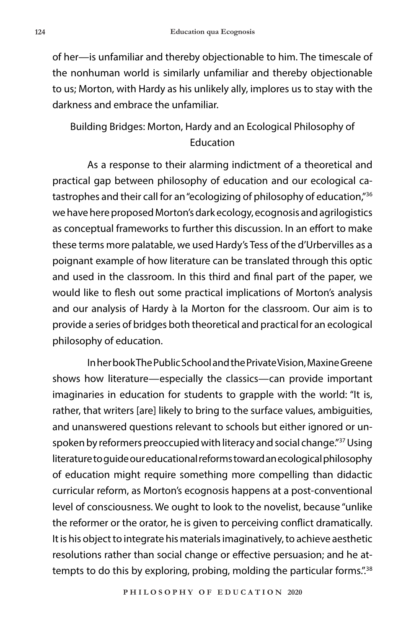of her—is unfamiliar and thereby objectionable to him. The timescale of the nonhuman world is similarly unfamiliar and thereby objectionable to us; Morton, with Hardy as his unlikely ally, implores us to stay with the darkness and embrace the unfamiliar.

## Building Bridges: Morton, Hardy and an Ecological Philosophy of Education

As a response to their alarming indictment of a theoretical and practical gap between philosophy of education and our ecological catastrophes and their call for an "ecologizing of philosophy of education,"<sup>36</sup> we have here proposed Morton's dark ecology, ecognosis and agrilogistics as conceptual frameworks to further this discussion. In an effort to make these terms more palatable, we used Hardy's Tess of the d'Urbervilles as a poignant example of how literature can be translated through this optic and used in the classroom. In this third and final part of the paper, we would like to flesh out some practical implications of Morton's analysis and our analysis of Hardy à la Morton for the classroom. Our aim is to provide a series of bridges both theoretical and practical for an ecological philosophy of education.

In her book The Public School and the Private Vision, Maxine Greene shows how literature—especially the classics—can provide important imaginaries in education for students to grapple with the world: "It is, rather, that writers [are] likely to bring to the surface values, ambiguities, and unanswered questions relevant to schools but either ignored or unspoken by reformers preoccupied with literacy and social change."37 Using literature to guide our educational reforms toward an ecological philosophy of education might require something more compelling than didactic curricular reform, as Morton's ecognosis happens at a post-conventional level of consciousness. We ought to look to the novelist, because "unlike the reformer or the orator, he is given to perceiving conflict dramatically. It is his object to integrate his materials imaginatively, to achieve aesthetic resolutions rather than social change or effective persuasion; and he attempts to do this by exploring, probing, molding the particular forms."<sup>38</sup>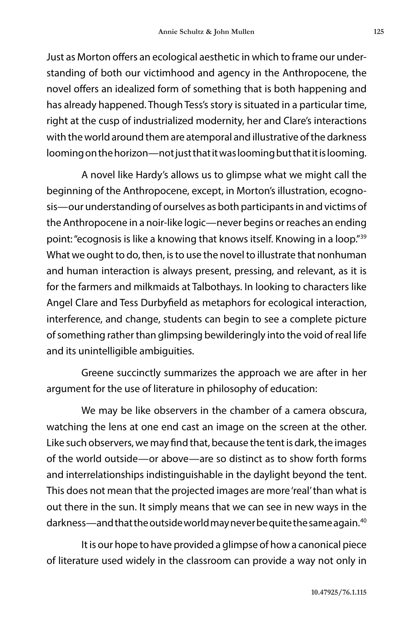Just as Morton offers an ecological aesthetic in which to frame our understanding of both our victimhood and agency in the Anthropocene, the novel offers an idealized form of something that is both happening and has already happened. Though Tess's story is situated in a particular time, right at the cusp of industrialized modernity, her and Clare's interactions with the world around them are atemporal and illustrative of the darkness looming on the horizon—not just that it was looming but that it is looming.

A novel like Hardy's allows us to glimpse what we might call the beginning of the Anthropocene, except, in Morton's illustration, ecognosis—our understanding of ourselves as both participants in and victims of the Anthropocene in a noir-like logic—never begins or reaches an ending point: "ecognosis is like a knowing that knows itself. Knowing in a loop."39 What we ought to do, then, is to use the novel to illustrate that nonhuman and human interaction is always present, pressing, and relevant, as it is for the farmers and milkmaids at Talbothays. In looking to characters like Angel Clare and Tess Durbyfield as metaphors for ecological interaction, interference, and change, students can begin to see a complete picture of something rather than glimpsing bewilderingly into the void of real life and its unintelligible ambiguities.

Greene succinctly summarizes the approach we are after in her argument for the use of literature in philosophy of education:

We may be like observers in the chamber of a camera obscura, watching the lens at one end cast an image on the screen at the other. Like such observers, we may find that, because the tent is dark, the images of the world outside—or above—are so distinct as to show forth forms and interrelationships indistinguishable in the daylight beyond the tent. This does not mean that the projected images are more 'real' than what is out there in the sun. It simply means that we can see in new ways in the darkness—and that the outside world may never be quite the same again.<sup>40</sup>

It is our hope to have provided a glimpse of how a canonical piece of literature used widely in the classroom can provide a way not only in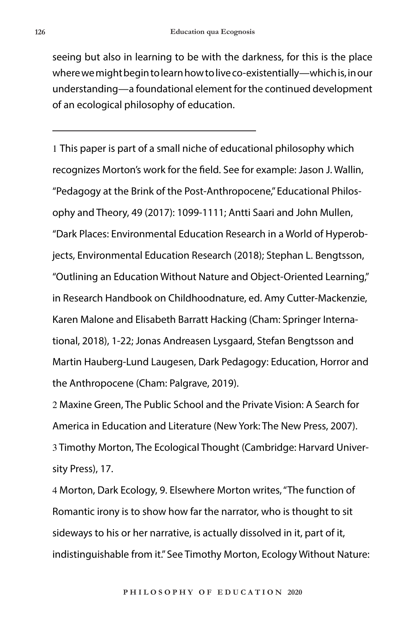seeing but also in learning to be with the darkness, for this is the place where we might begin to learn how to live co-existentially—which is, in our understanding—a foundational element for the continued development of an ecological philosophy of education.

1 This paper is part of a small niche of educational philosophy which recognizes Morton's work for the field. See for example: Jason J. Wallin, "Pedagogy at the Brink of the Post-Anthropocene," Educational Philosophy and Theory, 49 (2017): 1099-1111; Antti Saari and John Mullen, "Dark Places: Environmental Education Research in a World of Hyperobjects, Environmental Education Research (2018); Stephan L. Bengtsson, "Outlining an Education Without Nature and Object-Oriented Learning," in Research Handbook on Childhoodnature, ed. Amy Cutter-Mackenzie, Karen Malone and Elisabeth Barratt Hacking (Cham: Springer International, 2018), 1-22; Jonas Andreasen Lysgaard, Stefan Bengtsson and Martin Hauberg-Lund Laugesen, Dark Pedagogy: Education, Horror and the Anthropocene (Cham: Palgrave, 2019).

2 Maxine Green, The Public School and the Private Vision: A Search for America in Education and Literature (New York: The New Press, 2007). 3 Timothy Morton, The Ecological Thought (Cambridge: Harvard University Press), 17.

4 Morton, Dark Ecology, 9. Elsewhere Morton writes, "The function of Romantic irony is to show how far the narrator, who is thought to sit sideways to his or her narrative, is actually dissolved in it, part of it, indistinguishable from it." See Timothy Morton, Ecology Without Nature: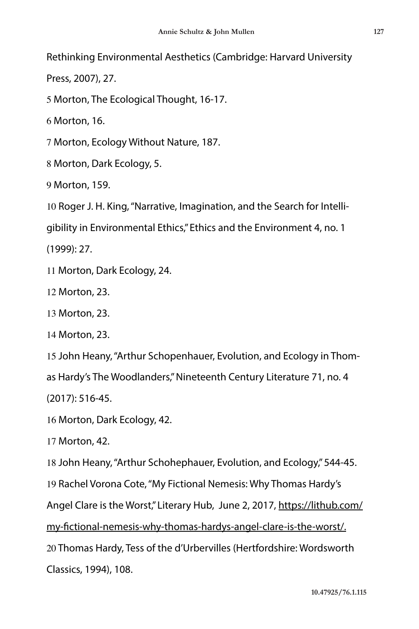Rethinking Environmental Aesthetics (Cambridge: Harvard University

Press, 2007), 27.

5 Morton, The Ecological Thought, 16-17.

6 Morton, 16.

7 Morton, Ecology Without Nature, 187.

8 Morton, Dark Ecology, 5.

9 Morton, 159.

10 Roger J. H. King, "Narrative, Imagination, and the Search for Intelli-

gibility in Environmental Ethics," Ethics and the Environment 4, no. 1

(1999): 27.

11 Morton, Dark Ecology, 24.

12 Morton, 23.

13 Morton, 23.

14 Morton, 23.

15 John Heany, "Arthur Schopenhauer, Evolution, and Ecology in Thom-

as Hardy's The Woodlanders," Nineteenth Century Literature 71, no. 4

(2017): 516-45.

16 Morton, Dark Ecology, 42.

17 Morton, 42.

18 John Heany, "Arthur Schohephauer, Evolution, and Ecology," 544-45.

19 Rachel Vorona Cote, "My Fictional Nemesis: Why Thomas Hardy's

Angel Clare is the Worst," Literary Hub, June 2, 2017, https://lithub.com/

my-fictional-nemesis-why-thomas-hardys-angel-clare-is-the-worst/.

20 Thomas Hardy, Tess of the d'Urbervilles (Hertfordshire: Wordsworth Classics, 1994), 108.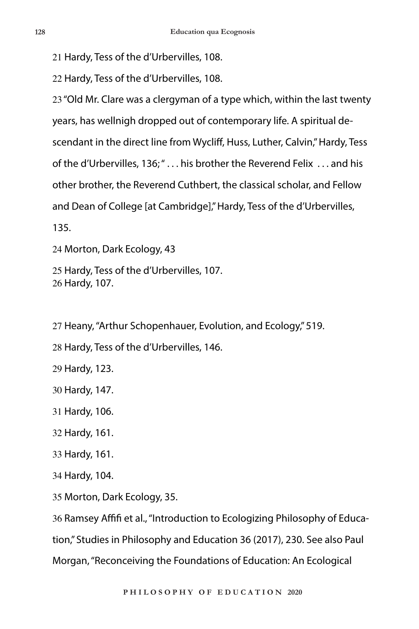Hardy, Tess of the d'Urbervilles, 108.

Hardy, Tess of the d'Urbervilles, 108.

 "Old Mr. Clare was a clergyman of a type which, within the last twenty years, has wellnigh dropped out of contemporary life. A spiritual descendant in the direct line from Wycliff, Huss, Luther, Calvin," Hardy, Tess of the d'Urbervilles, 136; " . . . his brother the Reverend Felix . . . and his other brother, the Reverend Cuthbert, the classical scholar, and Fellow and Dean of College [at Cambridge]," Hardy, Tess of the d'Urbervilles,

135.

Morton, Dark Ecology, 43

 Hardy, Tess of the d'Urbervilles, 107. Hardy, 107.

Heany, "Arthur Schopenhauer, Evolution, and Ecology," 519.

Hardy, Tess of the d'Urbervilles, 146.

Hardy, 123.

Hardy, 147.

Hardy, 106.

Hardy, 161.

Hardy, 161.

Hardy, 104.

Morton, Dark Ecology, 35.

Ramsey Affifi et al., "Introduction to Ecologizing Philosophy of Educa-

tion," Studies in Philosophy and Education 36 (2017), 230. See also Paul

Morgan, "Reconceiving the Foundations of Education: An Ecological